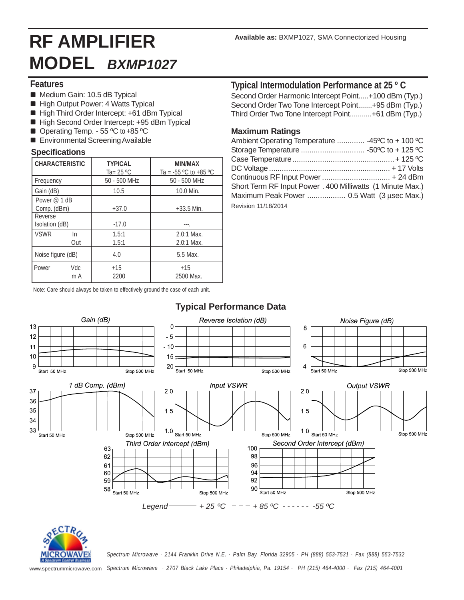# **RF AMPLIFIER MODEL** *BXMP1027*

### **Features**

- Medium Gain: 10.5 dB Typical
- High Output Power: 4 Watts Typical
- High Third Order Intercept: +61 dBm Typical
- High Second Order Intercept: +95 dBm Typical
- Operating Temp. 55  $\mathrm{°C}$  to +85  $\mathrm{°C}$
- **Environmental Screening Available**

#### **Specifications**

| <b>CHARACTERISTIC</b>       |            | <b>TYPICAL</b><br>Ta= 25 $\rm{^{\circ}C}$ | MIN/MAX<br>Ta = $-55$ °C to $+85$ °C |
|-----------------------------|------------|-------------------------------------------|--------------------------------------|
| Frequency                   |            | 50 - 500 MHz                              | 50 - 500 MHz                         |
| Gain (dB)                   |            | 10.5                                      | 10.0 Min.                            |
| Power @ 1 dB<br>Comp. (dBm) |            | $+37.0$                                   | $+33.5$ Min.                         |
| Reverse<br>Isolation (dB)   |            | $-17.0$                                   |                                      |
| <b>VSWR</b>                 | In<br>Out  | 1.5:1<br>1.5:1                            | $2.0:1$ Max.<br>$2.0:1$ Max.         |
| Noise figure (dB)           |            | 4.0                                       | 5.5 Max.                             |
| Power                       | Vdc<br>m A | $+15$<br>2200                             | $+15$<br>2500 Max.                   |

**Typical Intermodulation Performance at 25 º C**

Second Order Harmonic Intercept Point.....+100 dBm (Typ.) Second Order Two Tone Intercept Point.......+95 dBm (Typ.) Third Order Two Tone Intercept Point...........+61 dBm (Typ.)

#### **Maximum Ratings**

| Ambient Operating Temperature  -45°C to + 100 °C           |  |
|------------------------------------------------------------|--|
|                                                            |  |
|                                                            |  |
|                                                            |  |
| Continuous RF Input Power  + 24 dBm                        |  |
| Short Term RF Input Power . 400 Milliwatts (1 Minute Max.) |  |
| Maximum Peak Power  0.5 Watt (3 usec Max.)                 |  |
| Revision 11/18/2014                                        |  |
|                                                            |  |

Note: Care should always be taken to effectively ground the case of each unit.



## **Typical Performance Data**



*Spectrum Microwave · 2144 Franklin Drive N.E. · Palm Bay, Florida 32905 · PH (888) 553-7531 · Fax (888) 553-7532* www.spectrummicrowave.com *Spectrum Microwave · 2707 Black Lake Place · Philadelphia, Pa. 19154 · PH (215) 464-4000 · Fax (215) 464-4001*